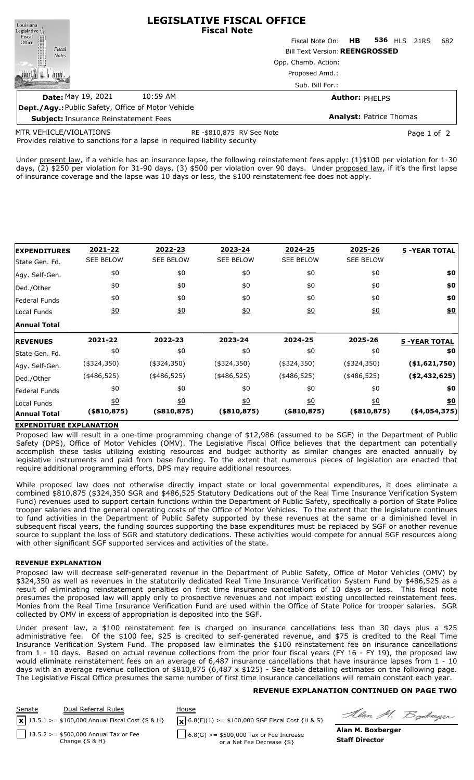| Louisiana                                                 |                                                                                                                                                                                                                                                                                                                                    | <b>LEGISLATIVE FISCAL OFFICE</b><br><b>Fiscal Note</b> |                     |     |  |  |  |
|-----------------------------------------------------------|------------------------------------------------------------------------------------------------------------------------------------------------------------------------------------------------------------------------------------------------------------------------------------------------------------------------------------|--------------------------------------------------------|---------------------|-----|--|--|--|
|                                                           |                                                                                                                                                                                                                                                                                                                                    | HB.<br>Fiscal Note On:                                 | <b>536 HLS 21RS</b> | 682 |  |  |  |
| Legislative<br>Fiscal<br>Office<br>Fiscal<br><b>Notes</b> |                                                                                                                                                                                                                                                                                                                                    | <b>Bill Text Version: REENGROSSED</b>                  |                     |     |  |  |  |
|                                                           |                                                                                                                                                                                                                                                                                                                                    | Opp. Chamb. Action:                                    |                     |     |  |  |  |
|                                                           |                                                                                                                                                                                                                                                                                                                                    | Proposed Amd.:                                         |                     |     |  |  |  |
|                                                           |                                                                                                                                                                                                                                                                                                                                    | Sub. Bill For.:                                        |                     |     |  |  |  |
| Date: May 19, 2021                                        | 10:59 AM                                                                                                                                                                                                                                                                                                                           | <b>Author: PHELPS</b>                                  |                     |     |  |  |  |
|                                                           | $\mathbf{r}$ $\mathbf{r}$ $\mathbf{r}$ $\mathbf{r}$ $\mathbf{r}$ $\mathbf{r}$ $\mathbf{r}$ $\mathbf{r}$ $\mathbf{r}$ $\mathbf{r}$ $\mathbf{r}$ $\mathbf{r}$ $\mathbf{r}$ $\mathbf{r}$ $\mathbf{r}$ $\mathbf{r}$ $\mathbf{r}$ $\mathbf{r}$ $\mathbf{r}$ $\mathbf{r}$ $\mathbf{r}$ $\mathbf{r}$ $\mathbf{r}$ $\mathbf{r}$ $\mathbf{$ |                                                        |                     |     |  |  |  |

**Dept./Agy.:** Public Safety, Office of Motor Vehicle **Subject:** Insurance Reinstatement Fees **Analyst:** Patrice Thomas

MTR VEHICLE/VIOLATIONS

RE -\$810,875 RV See Note **Page 1 of 2** Page 1 of 2

Provides relative to sanctions for a lapse in required liability security

Under present law, if a vehicle has an insurance lapse, the following reinstatement fees apply: (1)\$100 per violation for 1-30 days, (2) \$250 per violation for 31-90 days, (3) \$500 per violation over 90 days. Under proposed law, if it's the first lapse of insurance coverage and the lapse was 10 days or less, the \$100 reinstatement fee does not apply.

| <b>EXPENDITURES</b> | 2021-22          | 2022-23          | 2023-24          | 2024-25          | 2025-26          | <b>5 -YEAR TOTAL</b> |
|---------------------|------------------|------------------|------------------|------------------|------------------|----------------------|
| State Gen. Fd.      | <b>SEE BELOW</b> | <b>SEE BELOW</b> | <b>SEE BELOW</b> | <b>SEE BELOW</b> | <b>SEE BELOW</b> |                      |
| Agy. Self-Gen.      | \$0              | \$0              | \$0              | \$0              | \$0              | \$0                  |
| Ded./Other          | \$0              | \$0              | \$0              | \$0              | \$0              | \$0                  |
| Federal Funds       | \$0              | \$0              | \$0              | \$0              | \$0              | \$0                  |
| Local Funds         | 60               | 60               | 60               | 60               | 60               | \$0                  |
| <b>Annual Total</b> |                  |                  |                  |                  |                  |                      |
| <b>REVENUES</b>     | 2021-22          | 2022-23          | 2023-24          | 2024-25          | 2025-26          | <b>5 -YEAR TOTAL</b> |
| State Gen. Fd.      | \$0              | \$0              | \$0              | \$0              | \$0              | \$0                  |
| Agy. Self-Gen.      | $(*324,350)$     | $(*324,350)$     | $(*324,350)$     | $(*324,350)$     | $(*324,350)$     | ( \$1,621,750)       |
| Ded./Other          | $(*486,525)$     | $(*486,525)$     | $(*486,525)$     | $(*486,525)$     | $(*486,525)$     | ( \$2,432,625)       |
| Federal Funds       | \$0              | \$0              | \$0              | \$0              | \$0              | \$0                  |
| Local Funds         | $\underline{50}$ | $\frac{1}{2}$    | $\underline{40}$ | 60               | $\underline{50}$ | \$0                  |
| <b>Annual Total</b> | (\$810,875)      | $($ \$810,875)   | $($ \$810,875)   | $($ \$810,875)   | $($ \$810,875)   | ( \$4,054,375)       |

### **EXPENDITURE EXPLANATION**

Proposed law will result in a one-time programming change of \$12,986 (assumed to be SGF) in the Department of Public Safety (DPS), Office of Motor Vehicles (OMV). The Legislative Fiscal Office believes that the department can potentially accomplish these tasks utilizing existing resources and budget authority as similar changes are enacted annually by legislative instruments and paid from base funding. To the extent that numerous pieces of legislation are enacted that require additional programming efforts, DPS may require additional resources.

While proposed law does not otherwise directly impact state or local governmental expenditures, it does eliminate a combined \$810,875 (\$324,350 SGR and \$486,525 Statutory Dedications out of the Real Time Insurance Verification System Fund) revenues used to support certain functions within the Department of Public Safety, specifically a portion of State Police trooper salaries and the general operating costs of the Office of Motor Vehicles. To the extent that the legislature continues to fund activities in the Department of Public Safety supported by these revenues at the same or a diminished level in subsequent fiscal years, the funding sources supporting the base expenditures must be replaced by SGF or another revenue source to supplant the loss of SGR and statutory dedications. These activities would compete for annual SGF resources along with other significant SGF supported services and activities of the state.

#### **REVENUE EXPLANATION**

Proposed law will decrease self-generated revenue in the Department of Public Safety, Office of Motor Vehicles (OMV) by \$324,350 as well as revenues in the statutorily dedicated Real Time Insurance Verification System Fund by \$486,525 as a result of eliminating reinstatement penalties on first time insurance cancellations of 10 days or less. This fiscal note presumes the proposed law will apply only to prospective revenues and not impact existing uncollected reinstatement fees. Monies from the Real Time Insurance Verification Fund are used within the Office of State Police for trooper salaries. SGR collected by OMV in excess of appropriation is deposited into the SGF.

Under present law, a \$100 reinstatement fee is charged on insurance cancellations less than 30 days plus a \$25 administrative fee. Of the \$100 fee, \$25 is credited to self-generated revenue, and \$75 is credited to the Real Time Insurance Verification System Fund. The proposed law eliminates the \$100 reinstatement fee on insurance cancellations from 1 - 10 days. Based on actual revenue collections from the prior four fiscal years (FY 16 - FY 19), the proposed law would eliminate reinstatement fees on an average of 6,487 insurance cancellations that have insurance lapses from 1 - 10 days with an average revenue collection of \$810,875 (6,487 x \$125) - See table detailing estimates on the following page. The Legislative Fiscal Office presumes the same number of first time insurance cancellations will remain constant each year.

### **REVENUE EXPLANATION CONTINUED ON PAGE TWO**

Senate Dual Referral Rules House  $\sqrt{\mathbf{x}}$  6.8(F)(1) >= \$100,000 SGF Fiscal Cost {H & S} 13.5.2 >= \$500,000 Annual Tax or Fee Change {S & H}  $6.8(G)$  >= \$500,000 Tax or Fee Increase or a Net Fee Decrease {S} **x** 13.5.1 >= \$100,000 Annual Fiscal Cost {S & H}

Alan M. Boderger